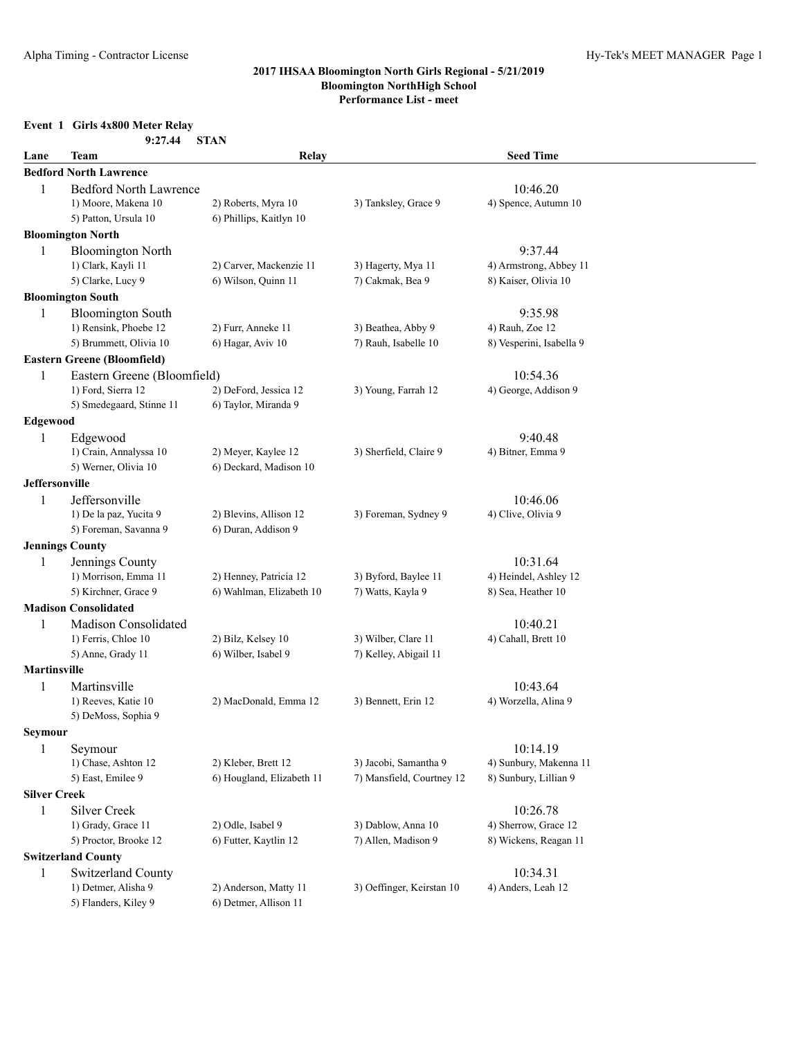# **Event 1 Girls 4x800 Meter Relay**

|      | $\mathbf{v}$ . Only ray $\mathbf{v}$ rictly recently |  |
|------|------------------------------------------------------|--|
|      | 9:27.44 STAN                                         |  |
| Taam |                                                      |  |

| Lane                  | Team                                     | Relay                                     |                                              | <b>Seed Time</b>         |
|-----------------------|------------------------------------------|-------------------------------------------|----------------------------------------------|--------------------------|
|                       | <b>Bedford North Lawrence</b>            |                                           |                                              |                          |
| 1                     | <b>Bedford North Lawrence</b>            |                                           |                                              | 10:46.20                 |
|                       | 1) Moore, Makena 10                      | 2) Roberts, Myra 10                       | 3) Tanksley, Grace 9                         | 4) Spence, Autumn 10     |
|                       | 5) Patton, Ursula 10                     | 6) Phillips, Kaitlyn 10                   |                                              |                          |
|                       | <b>Bloomington North</b>                 |                                           |                                              |                          |
| 1                     | <b>Bloomington North</b>                 |                                           |                                              | 9:37.44                  |
|                       | 1) Clark, Kayli 11                       | 2) Carver, Mackenzie 11                   | 3) Hagerty, Mya 11                           | 4) Armstrong, Abbey 11   |
|                       | 5) Clarke, Lucy 9                        | 6) Wilson, Quinn 11                       | 7) Cakmak, Bea 9                             | 8) Kaiser, Olivia 10     |
|                       | <b>Bloomington South</b>                 |                                           |                                              |                          |
| 1                     | <b>Bloomington South</b>                 |                                           |                                              | 9:35.98                  |
|                       | 1) Rensink, Phoebe 12                    | 2) Furr, Anneke 11                        | 3) Beathea, Abby 9                           | 4) Rauh, Zoe 12          |
|                       | 5) Brummett, Olivia 10                   | 6) Hagar, Aviv 10                         | 7) Rauh, Isabelle 10                         | 8) Vesperini, Isabella 9 |
|                       | <b>Eastern Greene (Bloomfield)</b>       |                                           |                                              |                          |
| 1                     | Eastern Greene (Bloomfield)              |                                           |                                              | 10:54.36                 |
|                       | 1) Ford, Sierra 12                       | 2) DeFord, Jessica 12                     | 3) Young, Farrah 12                          | 4) George, Addison 9     |
|                       | 5) Smedegaard, Stinne 11                 | 6) Taylor, Miranda 9                      |                                              |                          |
| <b>Edgewood</b>       |                                          |                                           |                                              |                          |
| 1                     | Edgewood                                 |                                           |                                              | 9:40.48                  |
|                       | 1) Crain, Annalyssa 10                   | 2) Meyer, Kaylee 12                       | 3) Sherfield, Claire 9                       | 4) Bitner, Emma 9        |
|                       | 5) Werner, Olivia 10                     | 6) Deckard, Madison 10                    |                                              |                          |
| <b>Jeffersonville</b> |                                          |                                           |                                              |                          |
| 1                     | Jeffersonville                           |                                           |                                              | 10:46.06                 |
|                       | 1) De la paz, Yucita 9                   | 2) Blevins, Allison 12                    | 3) Foreman, Sydney 9                         | 4) Clive, Olivia 9       |
|                       | 5) Foreman, Savanna 9                    | 6) Duran, Addison 9                       |                                              |                          |
|                       | <b>Jennings County</b>                   |                                           |                                              |                          |
| 1                     | Jennings County                          |                                           |                                              | 10:31.64                 |
|                       | 1) Morrison, Emma 11                     | 2) Henney, Patricia 12                    | 3) Byford, Baylee 11                         | 4) Heindel, Ashley 12    |
|                       | 5) Kirchner, Grace 9                     | 6) Wahlman, Elizabeth 10                  | 7) Watts, Kayla 9                            | 8) Sea, Heather 10       |
|                       | <b>Madison Consolidated</b>              |                                           |                                              |                          |
|                       |                                          |                                           |                                              |                          |
| $\mathbf{1}$          | Madison Consolidated                     |                                           |                                              | 10:40.21                 |
|                       | 1) Ferris, Chloe 10<br>5) Anne, Grady 11 | 2) Bilz, Kelsey 10<br>6) Wilber, Isabel 9 | 3) Wilber, Clare 11<br>7) Kelley, Abigail 11 | 4) Cahall, Brett 10      |
|                       |                                          |                                           |                                              |                          |
| <b>Martinsville</b>   |                                          |                                           |                                              |                          |
| $\mathbf{1}$          | Martinsville                             |                                           |                                              | 10:43.64                 |
|                       | 1) Reeves, Katie 10                      | 2) MacDonald, Emma 12                     | 3) Bennett, Erin 12                          | 4) Worzella, Alina 9     |
|                       | 5) DeMoss, Sophia 9                      |                                           |                                              |                          |
| Seymour               |                                          |                                           |                                              |                          |
| $\mathbf{1}$          | Seymour                                  |                                           |                                              | 10:14.19                 |
|                       | 1) Chase, Ashton 12                      | 2) Kleber, Brett 12                       | 3) Jacobi, Samantha 9                        | 4) Sunbury, Makenna 11   |
|                       | 5) East, Emilee 9                        | 6) Hougland, Elizabeth 11                 | 7) Mansfield, Courtney 12                    | 8) Sunbury, Lillian 9    |
| <b>Silver Creek</b>   |                                          |                                           |                                              |                          |
| 1                     | <b>Silver Creek</b>                      |                                           |                                              | 10:26.78                 |
|                       | 1) Grady, Grace 11                       | 2) Odle, Isabel 9                         | 3) Dablow, Anna 10                           | 4) Sherrow, Grace 12     |
|                       | 5) Proctor, Brooke 12                    | 6) Futter, Kaytlin 12                     | 7) Allen, Madison 9                          | 8) Wickens, Reagan 11    |
|                       | <b>Switzerland County</b>                |                                           |                                              |                          |
| 1                     | Switzerland County                       |                                           |                                              | 10:34.31                 |
|                       | 1) Detmer, Alisha 9                      | 2) Anderson, Matty 11                     | 3) Oeffinger, Keirstan 10                    | 4) Anders, Leah 12       |
|                       | 5) Flanders, Kiley 9                     | 6) Detmer, Allison 11                     |                                              |                          |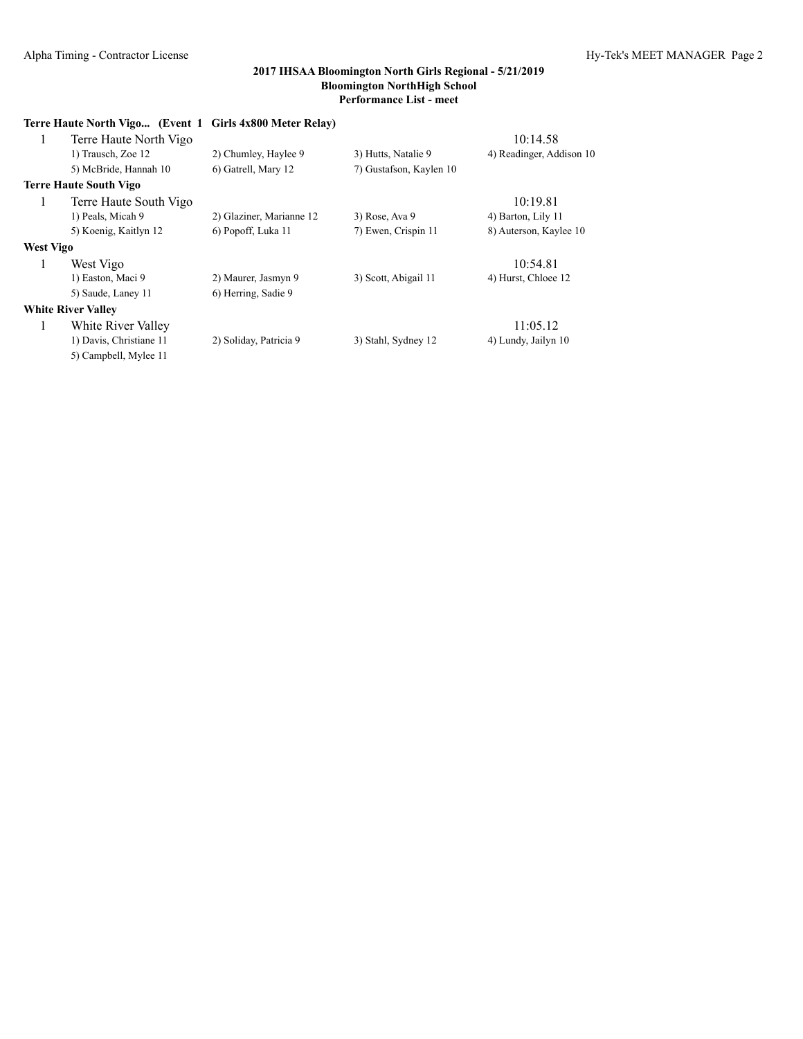|           | Terre Haute North Vigo (Event 1 Girls 4x800 Meter Relay) |                          |                         |                          |
|-----------|----------------------------------------------------------|--------------------------|-------------------------|--------------------------|
| 1         | Terre Haute North Vigo                                   |                          |                         | 10:14.58                 |
|           | 1) Trausch, Zoe 12                                       | 2) Chumley, Haylee 9     | 3) Hutts, Natalie 9     | 4) Readinger, Addison 10 |
|           | 5) McBride, Hannah 10                                    | 6) Gatrell, Mary 12      | 7) Gustafson, Kaylen 10 |                          |
|           | Terre Haute South Vigo                                   |                          |                         |                          |
| 1         | Terre Haute South Vigo                                   |                          |                         | 10:19.81                 |
|           | 1) Peals, Micah 9                                        | 2) Glaziner, Marianne 12 | $3)$ Rose, Ava 9        | 4) Barton, Lily 11       |
|           | 5) Koenig, Kaitlyn 12                                    | 6) Popoff, Luka 11       | 7) Ewen, Crispin 11     | 8) Auterson, Kaylee 10   |
| West Vigo |                                                          |                          |                         |                          |
| 1         | West Vigo                                                |                          |                         | 10:54.81                 |
|           | 1) Easton, Maci 9                                        | 2) Maurer, Jasmyn 9      | 3) Scott, Abigail 11    | 4) Hurst, Chloee 12      |
|           | 5) Saude, Laney 11                                       | 6) Herring, Sadie 9      |                         |                          |
|           | <b>White River Valley</b>                                |                          |                         |                          |
| 1         | White River Valley                                       |                          |                         | 11:05.12                 |
|           | 1) Davis, Christiane 11                                  | 2) Soliday, Patricia 9   | 3) Stahl, Sydney 12     | 4) Lundy, Jailyn 10      |
|           | 5) Campbell, Mylee 11                                    |                          |                         |                          |
|           |                                                          |                          |                         |                          |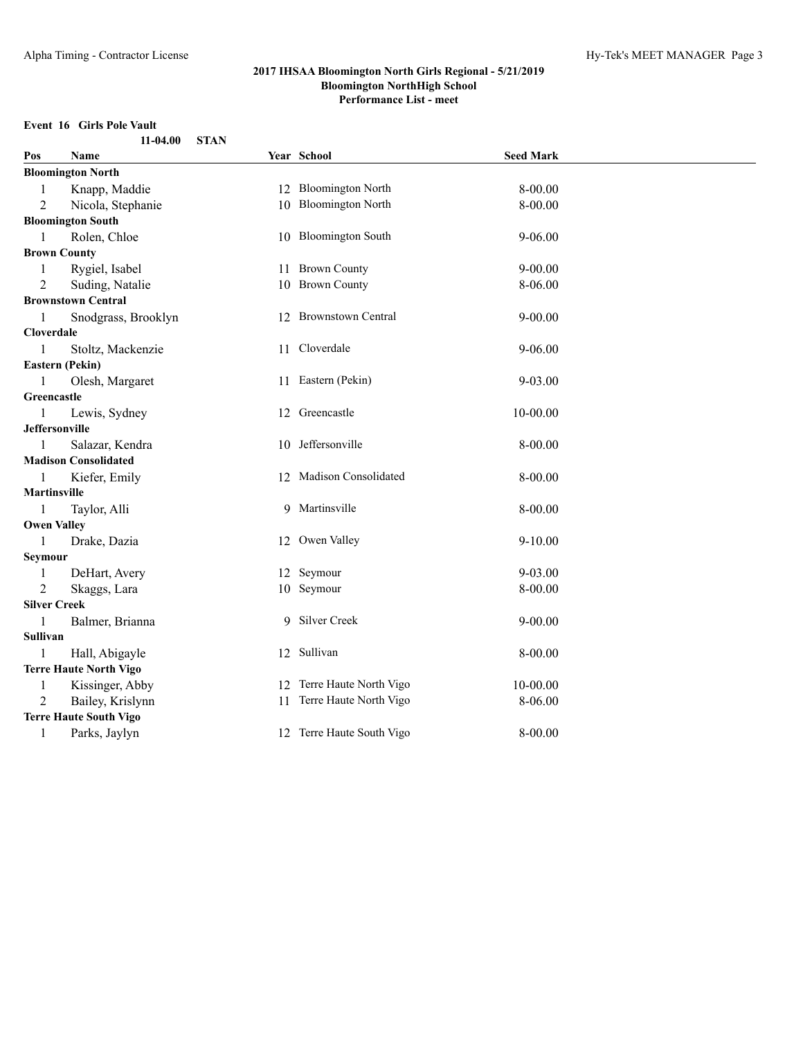# **Event 16 Girls Pole Vault**

| $11-04.00$ STAN |  |
|-----------------|--|
|                 |  |

| Pos                 | Name                          | Year School               | <b>Seed Mark</b> |  |
|---------------------|-------------------------------|---------------------------|------------------|--|
|                     | <b>Bloomington North</b>      |                           |                  |  |
| $\mathbf{1}$        | Knapp, Maddie                 | 12 Bloomington North      | 8-00.00          |  |
| 2                   | Nicola, Stephanie             | 10 Bloomington North      | 8-00.00          |  |
|                     | <b>Bloomington South</b>      |                           |                  |  |
| 1                   | Rolen, Chloe                  | 10 Bloomington South      | 9-06.00          |  |
|                     | <b>Brown County</b>           |                           |                  |  |
| $\mathbf{1}$        | Rygiel, Isabel                | 11 Brown County           | $9 - 00.00$      |  |
| 2                   | Suding, Natalie               | 10 Brown County           | 8-06.00          |  |
|                     | <b>Brownstown Central</b>     |                           |                  |  |
| 1                   | Snodgrass, Brooklyn           | 12 Brownstown Central     | $9 - 00.00$      |  |
| Cloverdale          |                               |                           |                  |  |
| 1                   | Stoltz, Mackenzie             | 11 Cloverdale             | $9 - 06.00$      |  |
|                     | Eastern (Pekin)               |                           |                  |  |
| $\mathbf{1}$        | Olesh, Margaret               | 11 Eastern (Pekin)        | $9 - 03.00$      |  |
| Greencastle         |                               |                           |                  |  |
| $\mathbf{1}$        | Lewis, Sydney                 | 12 Greencastle            | $10 - 00.00$     |  |
|                     | <b>Jeffersonville</b>         |                           |                  |  |
| $\mathbf{1}$        | Salazar, Kendra               | 10 Jeffersonville         | $8 - 00.00$      |  |
|                     | <b>Madison Consolidated</b>   |                           |                  |  |
| 1                   | Kiefer, Emily                 | 12 Madison Consolidated   | $8 - 00.00$      |  |
| <b>Martinsville</b> |                               |                           |                  |  |
| -1                  | Taylor, Alli                  | 9 Martinsville            | $8 - 00.00$      |  |
|                     | <b>Owen Valley</b>            |                           |                  |  |
| 1                   | Drake, Dazia                  | 12 Owen Valley            | $9 - 10.00$      |  |
| Seymour             |                               |                           |                  |  |
| 1                   | DeHart, Avery                 | 12 Seymour                | $9 - 03.00$      |  |
| 2                   | Skaggs, Lara                  | 10 Seymour                | 8-00.00          |  |
|                     | <b>Silver Creek</b>           |                           |                  |  |
| $\mathbf{1}$        | Balmer, Brianna               | 9 Silver Creek            | $9 - 00.00$      |  |
| Sullivan            |                               |                           |                  |  |
| 1                   | Hall, Abigayle                | 12 Sullivan               | $8 - 00.00$      |  |
|                     | <b>Terre Haute North Vigo</b> |                           |                  |  |
| 1                   | Kissinger, Abby               | 12 Terre Haute North Vigo | $10 - 00.00$     |  |
| 2                   | Bailey, Krislynn              | 11 Terre Haute North Vigo | 8-06.00          |  |
|                     | <b>Terre Haute South Vigo</b> |                           |                  |  |
| 1                   | Parks, Jaylyn                 | 12 Terre Haute South Vigo | $8 - 00.00$      |  |
|                     |                               |                           |                  |  |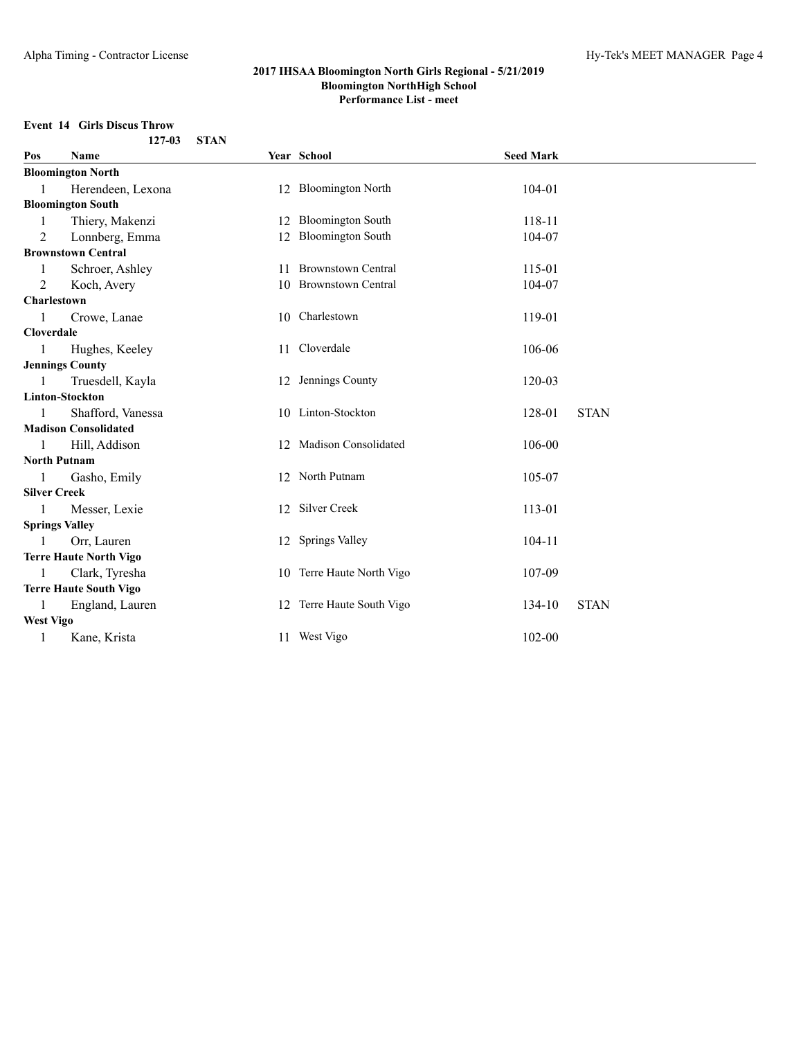# **Event 14 Girls Discus Throw**

|                       | 127-03                        | <b>STAN</b> |                           |                  |             |
|-----------------------|-------------------------------|-------------|---------------------------|------------------|-------------|
| Pos                   | <b>Name</b>                   |             | Year School               | <b>Seed Mark</b> |             |
|                       | <b>Bloomington North</b>      |             |                           |                  |             |
| 1                     | Herendeen, Lexona             |             | 12 Bloomington North      | 104-01           |             |
|                       | <b>Bloomington South</b>      |             |                           |                  |             |
|                       | Thiery, Makenzi               |             | 12 Bloomington South      | 118-11           |             |
| 2                     | Lonnberg, Emma                |             | 12 Bloomington South      | 104-07           |             |
|                       | <b>Brownstown Central</b>     |             |                           |                  |             |
| 1                     | Schroer, Ashley               |             | 11 Brownstown Central     | 115-01           |             |
| 2                     | Koch, Avery                   |             | 10 Brownstown Central     | 104-07           |             |
| Charlestown           |                               |             |                           |                  |             |
|                       | Crowe, Lanae                  |             | 10 Charlestown            | 119-01           |             |
| <b>Cloverdale</b>     |                               |             |                           |                  |             |
| 1                     | Hughes, Keeley                |             | 11 Cloverdale             | 106-06           |             |
|                       | <b>Jennings County</b>        |             |                           |                  |             |
| 1                     | Truesdell, Kayla              |             | 12 Jennings County        | 120-03           |             |
|                       | <b>Linton-Stockton</b>        |             |                           |                  |             |
|                       | Shafford, Vanessa             |             | 10 Linton-Stockton        | 128-01           | <b>STAN</b> |
|                       | <b>Madison Consolidated</b>   |             |                           |                  |             |
| $\mathbf{1}$          | Hill, Addison                 |             | 12 Madison Consolidated   | 106-00           |             |
| <b>North Putnam</b>   |                               |             |                           |                  |             |
| 1                     | Gasho, Emily                  |             | 12 North Putnam           | 105-07           |             |
| <b>Silver Creek</b>   |                               |             |                           |                  |             |
|                       | Messer, Lexie                 |             | 12 Silver Creek           | 113-01           |             |
| <b>Springs Valley</b> |                               |             |                           |                  |             |
| 1                     | Orr, Lauren                   |             | 12 Springs Valley         | 104-11           |             |
|                       | <b>Terre Haute North Vigo</b> |             |                           |                  |             |
| $\mathbf{1}$          | Clark, Tyresha                |             | 10 Terre Haute North Vigo | 107-09           |             |
|                       | <b>Terre Haute South Vigo</b> |             |                           |                  |             |
|                       | England, Lauren               |             | 12 Terre Haute South Vigo | 134-10           | <b>STAN</b> |
| <b>West Vigo</b>      |                               |             |                           |                  |             |
| 1                     | Kane, Krista                  |             | 11 West Vigo              | $102 - 00$       |             |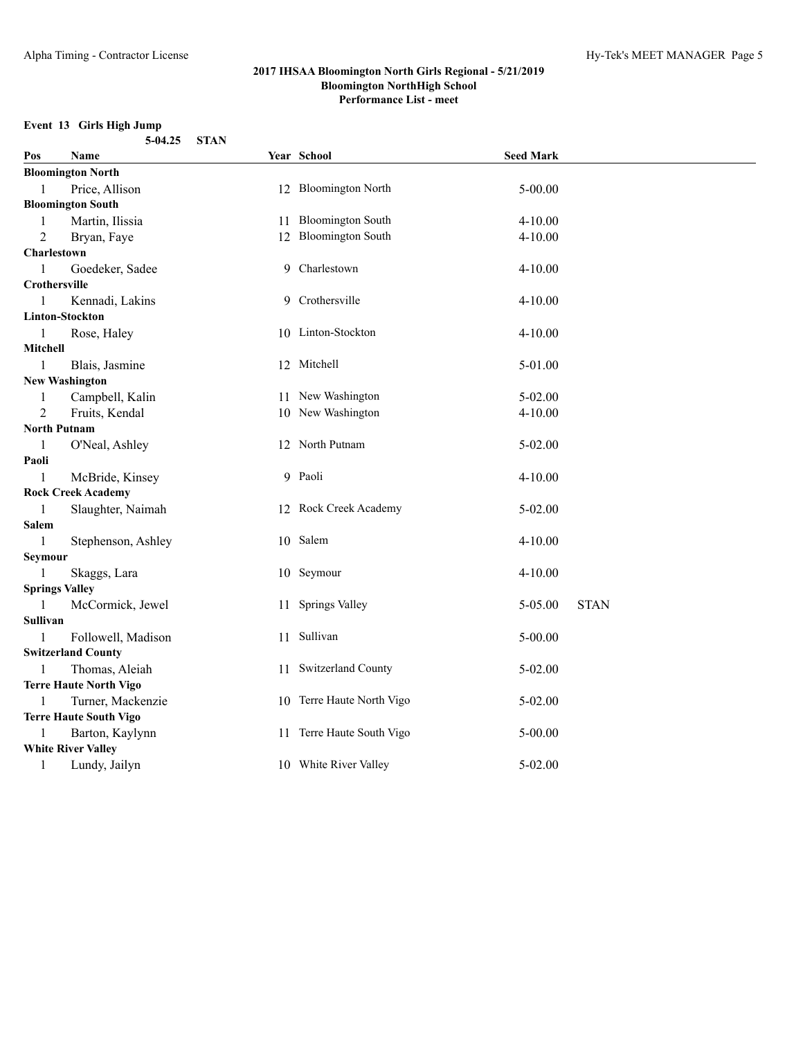# **Event 13 Girls High Jump**

|                       | 5-04.25                       | <b>STAN</b> |                           |                  |             |
|-----------------------|-------------------------------|-------------|---------------------------|------------------|-------------|
| Pos                   | Name                          |             | Year School               | <b>Seed Mark</b> |             |
|                       | <b>Bloomington North</b>      |             |                           |                  |             |
| 1                     | Price, Allison                |             | 12 Bloomington North      | 5-00.00          |             |
|                       | <b>Bloomington South</b>      |             |                           |                  |             |
| 1                     | Martin, Ilissia               |             | 11 Bloomington South      | $4 - 10.00$      |             |
| 2                     | Bryan, Faye                   |             | 12 Bloomington South      | $4 - 10.00$      |             |
| Charlestown           |                               |             |                           |                  |             |
| 1                     | Goedeker, Sadee               |             | 9 Charlestown             | $4 - 10.00$      |             |
| Crothersville         |                               |             |                           |                  |             |
| 1                     | Kennadi, Lakins               |             | 9 Crothersville           | $4 - 10.00$      |             |
|                       | Linton-Stockton               |             |                           |                  |             |
| 1                     | Rose, Haley                   |             | 10 Linton-Stockton        | $4 - 10.00$      |             |
| Mitchell              |                               |             |                           |                  |             |
| 1                     | Blais, Jasmine                |             | 12 Mitchell               | 5-01.00          |             |
|                       | <b>New Washington</b>         |             |                           |                  |             |
| 1                     | Campbell, Kalin               |             | 11 New Washington         | $5 - 02.00$      |             |
| 2                     | Fruits, Kendal                |             | 10 New Washington         | 4-10.00          |             |
| <b>North Putnam</b>   |                               |             |                           |                  |             |
| 1                     | O'Neal, Ashley                |             | 12 North Putnam           | 5-02.00          |             |
| Paoli                 |                               |             |                           |                  |             |
| 1                     | McBride, Kinsey               |             | 9 Paoli                   | $4 - 10.00$      |             |
|                       | <b>Rock Creek Academy</b>     |             |                           |                  |             |
| 1                     | Slaughter, Naimah             |             | 12 Rock Creek Academy     | 5-02.00          |             |
| Salem                 |                               |             |                           |                  |             |
| 1                     | Stephenson, Ashley            |             | 10 Salem                  | $4 - 10.00$      |             |
| Seymour               |                               |             |                           |                  |             |
| 1                     | Skaggs, Lara                  |             | 10 Seymour                | $4 - 10.00$      |             |
| <b>Springs Valley</b> | McCormick, Jewel              |             | 11 Springs Valley         | 5-05.00          | <b>STAN</b> |
| 1<br>Sullivan         |                               |             |                           |                  |             |
| 1                     | Followell, Madison            |             | 11 Sullivan               | $5 - 00.00$      |             |
|                       | <b>Switzerland County</b>     |             |                           |                  |             |
| 1                     | Thomas, Aleiah                |             | 11 Switzerland County     | 5-02.00          |             |
|                       | <b>Terre Haute North Vigo</b> |             |                           |                  |             |
| 1                     | Turner, Mackenzie             |             | 10 Terre Haute North Vigo | $5 - 02.00$      |             |
|                       | <b>Terre Haute South Vigo</b> |             |                           |                  |             |
| 1                     | Barton, Kaylynn               |             | 11 Terre Haute South Vigo | $5 - 00.00$      |             |
|                       | <b>White River Valley</b>     |             |                           |                  |             |
| -1                    | Lundy, Jailyn                 |             | 10 White River Valley     | 5-02.00          |             |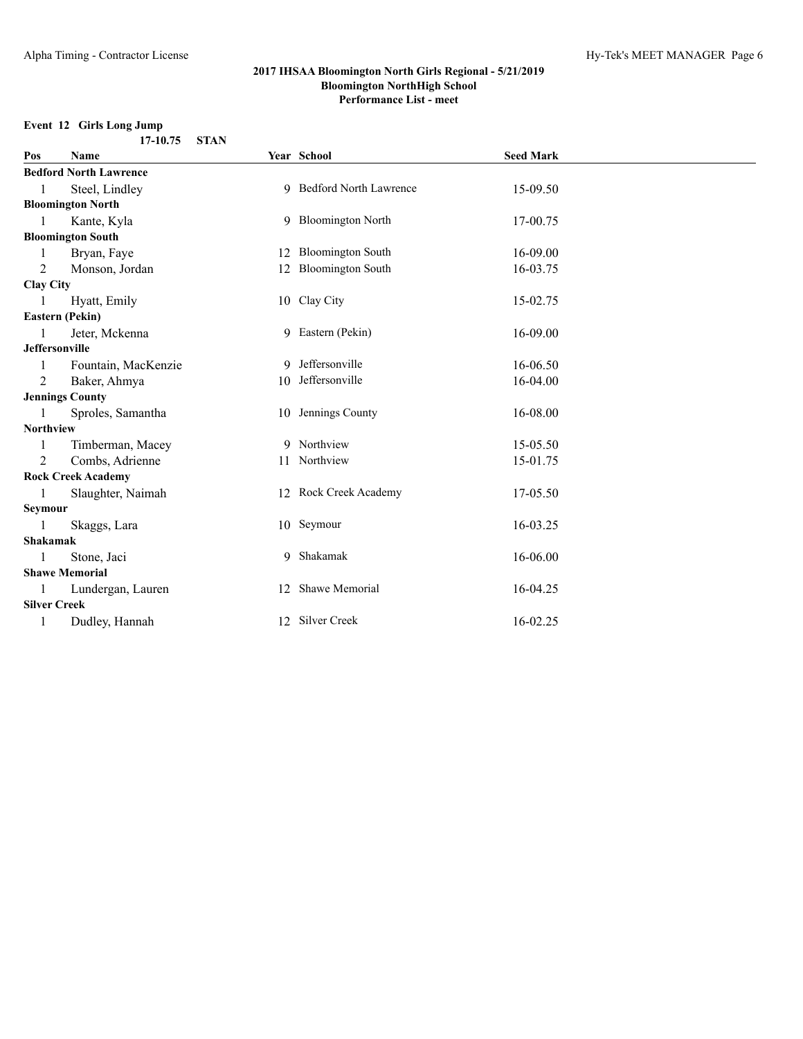#### **Event 12 Girls Long Jump 17-10.75 STAN**

| Pos                 | Name                          |    | Year School              | <b>Seed Mark</b> |  |
|---------------------|-------------------------------|----|--------------------------|------------------|--|
|                     | <b>Bedford North Lawrence</b> |    |                          |                  |  |
|                     | Steel, Lindley                |    | 9 Bedford North Lawrence | 15-09.50         |  |
|                     | <b>Bloomington North</b>      |    |                          |                  |  |
| 1                   | Kante, Kyla                   |    | 9 Bloomington North      | 17-00.75         |  |
|                     | <b>Bloomington South</b>      |    |                          |                  |  |
|                     | Bryan, Faye                   |    | 12 Bloomington South     | 16-09.00         |  |
| $\overline{2}$      | Monson, Jordan                |    | 12 Bloomington South     | 16-03.75         |  |
| <b>Clay City</b>    |                               |    |                          |                  |  |
|                     | Hyatt, Emily                  |    | 10 Clay City             | 15-02.75         |  |
|                     | <b>Eastern (Pekin)</b>        |    |                          |                  |  |
|                     | Jeter, Mckenna                |    | 9 Eastern (Pekin)        | 16-09.00         |  |
|                     | <b>Jeffersonville</b>         |    |                          |                  |  |
| 1                   | Fountain, MacKenzie           | 9. | Jeffersonville           | 16-06.50         |  |
| $\overline{2}$      | Baker, Ahmya                  |    | 10 Jeffersonville        | 16-04.00         |  |
|                     | <b>Jennings County</b>        |    |                          |                  |  |
| 1                   | Sproles, Samantha             |    | 10 Jennings County       | 16-08.00         |  |
| <b>Northview</b>    |                               |    |                          |                  |  |
| 1                   | Timberman, Macey              |    | 9 Northview              | 15-05.50         |  |
| 2                   | Combs, Adrienne               |    | 11 Northview             | 15-01.75         |  |
|                     | <b>Rock Creek Academy</b>     |    |                          |                  |  |
| 1                   | Slaughter, Naimah             |    | 12 Rock Creek Academy    | 17-05.50         |  |
| Seymour             |                               |    |                          |                  |  |
|                     | Skaggs, Lara                  |    | 10 Seymour               | 16-03.25         |  |
| <b>Shakamak</b>     |                               |    |                          |                  |  |
|                     | Stone, Jaci                   | 9  | Shakamak                 | 16-06.00         |  |
|                     | <b>Shawe Memorial</b>         |    |                          |                  |  |
| 1                   | Lundergan, Lauren             |    | 12 Shawe Memorial        | 16-04.25         |  |
| <b>Silver Creek</b> |                               |    |                          |                  |  |
| 1                   | Dudley, Hannah                |    | 12 Silver Creek          | 16-02.25         |  |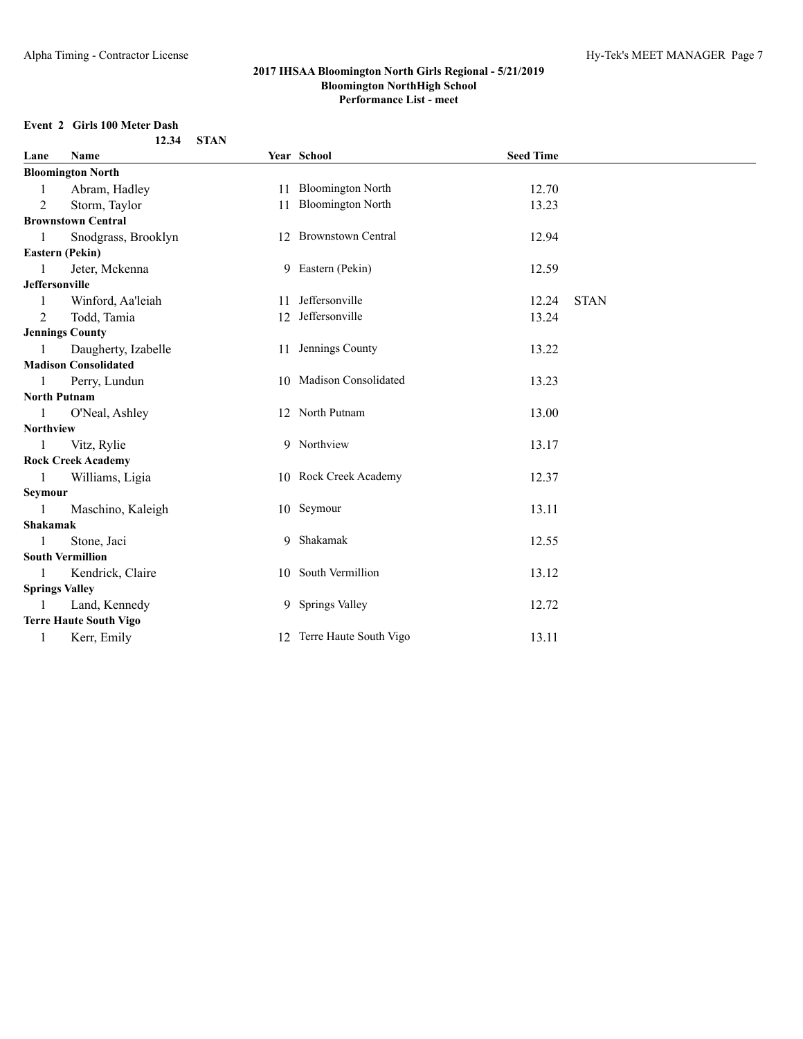#### **Event 2 Girls 100 Meter Dash 12.34 STAN**

| Lane             | Name                          |    | Year School               | <b>Seed Time</b> |             |
|------------------|-------------------------------|----|---------------------------|------------------|-------------|
|                  | <b>Bloomington North</b>      |    |                           |                  |             |
| 1                | Abram, Hadley                 |    | 11 Bloomington North      | 12.70            |             |
| $\overline{2}$   | Storm, Taylor                 | 11 | <b>Bloomington North</b>  | 13.23            |             |
|                  | <b>Brownstown Central</b>     |    |                           |                  |             |
| 1                | Snodgrass, Brooklyn           |    | 12 Brownstown Central     | 12.94            |             |
|                  | Eastern (Pekin)               |    |                           |                  |             |
| 1                | Jeter, Mckenna                |    | 9 Eastern (Pekin)         | 12.59            |             |
| Jeffersonville   |                               |    |                           |                  |             |
| 1                | Winford, Aa'leiah             |    | 11 Jeffersonville         | 12.24            | <b>STAN</b> |
| $\overline{2}$   | Todd, Tamia                   |    | 12 Jeffersonville         | 13.24            |             |
|                  | <b>Jennings County</b>        |    |                           |                  |             |
| 1                | Daugherty, Izabelle           |    | 11 Jennings County        | 13.22            |             |
|                  | <b>Madison Consolidated</b>   |    |                           |                  |             |
|                  | Perry, Lundun                 |    | 10 Madison Consolidated   | 13.23            |             |
|                  | <b>North Putnam</b>           |    |                           |                  |             |
| 1                | O'Neal, Ashley                |    | 12 North Putnam           | 13.00            |             |
| <b>Northview</b> |                               |    |                           |                  |             |
| 1                | Vitz, Rylie                   |    | 9 Northview               | 13.17            |             |
|                  | <b>Rock Creek Academy</b>     |    |                           |                  |             |
| $\mathbf{1}$     | Williams, Ligia               |    | 10 Rock Creek Academy     | 12.37            |             |
| Seymour          |                               |    |                           |                  |             |
| 1                | Maschino, Kaleigh             |    | 10 Seymour                | 13.11            |             |
| <b>Shakamak</b>  |                               |    |                           |                  |             |
|                  | Stone, Jaci                   |    | 9 Shakamak                | 12.55            |             |
|                  | <b>South Vermillion</b>       |    |                           |                  |             |
| 1                | Kendrick, Claire              |    | 10 South Vermillion       | 13.12            |             |
|                  | <b>Springs Valley</b>         |    |                           |                  |             |
| 1                | Land, Kennedy                 |    | 9 Springs Valley          | 12.72            |             |
|                  | <b>Terre Haute South Vigo</b> |    |                           |                  |             |
| 1                | Kerr, Emily                   |    | 12 Terre Haute South Vigo | 13.11            |             |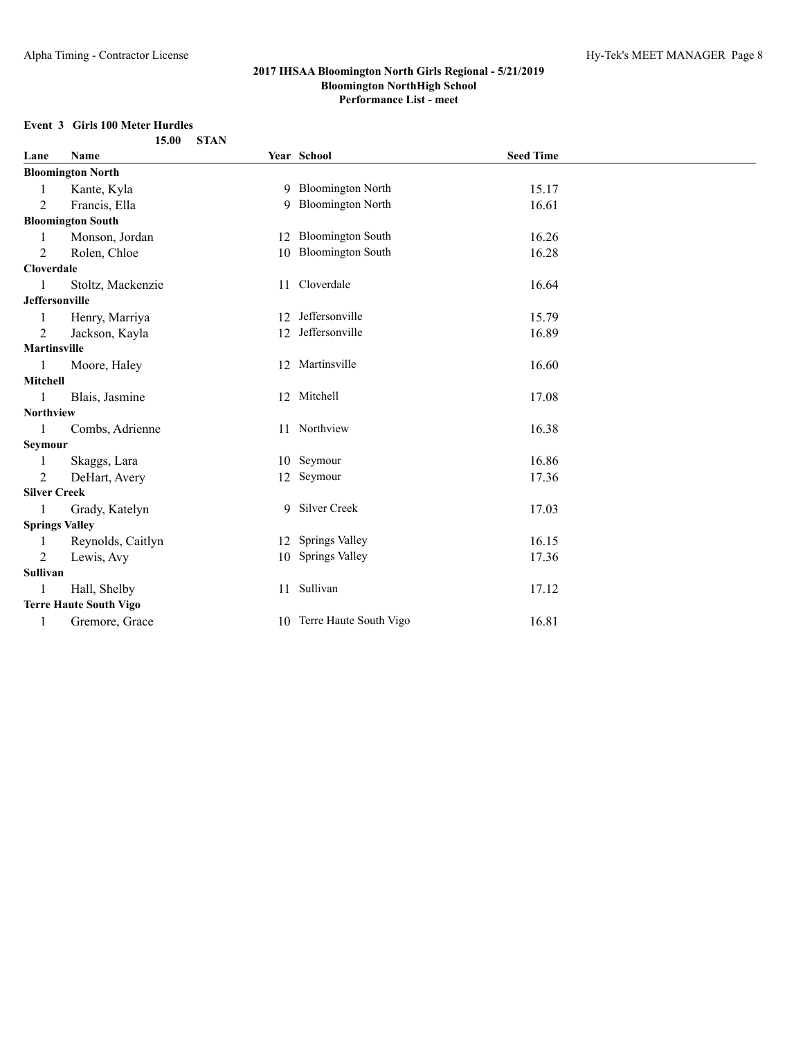# **Event 3 Girls 100 Meter Hurdles**

|                       | 15.00                         | <b>STAN</b> |                           |                  |  |
|-----------------------|-------------------------------|-------------|---------------------------|------------------|--|
| Lane                  | Name                          |             | Year School               | <b>Seed Time</b> |  |
|                       | <b>Bloomington North</b>      |             |                           |                  |  |
| 1                     | Kante, Kyla                   |             | 9 Bloomington North       | 15.17            |  |
| $\overline{2}$        | Francis, Ella                 | 9           | <b>Bloomington North</b>  | 16.61            |  |
|                       | <b>Bloomington South</b>      |             |                           |                  |  |
| 1                     | Monson, Jordan                |             | 12 Bloomington South      | 16.26            |  |
| $\overline{2}$        | Rolen, Chloe                  |             | 10 Bloomington South      | 16.28            |  |
| <b>Cloverdale</b>     |                               |             |                           |                  |  |
|                       | Stoltz, Mackenzie             |             | 11 Cloverdale             | 16.64            |  |
| <b>Jeffersonville</b> |                               |             |                           |                  |  |
| 1                     | Henry, Marriya                |             | 12 Jeffersonville         | 15.79            |  |
| 2                     | Jackson, Kayla                |             | 12 Jeffersonville         | 16.89            |  |
| <b>Martinsville</b>   |                               |             |                           |                  |  |
| 1                     | Moore, Haley                  |             | 12 Martinsville           | 16.60            |  |
| Mitchell              |                               |             |                           |                  |  |
| 1                     | Blais, Jasmine                |             | 12 Mitchell               | 17.08            |  |
| <b>Northview</b>      |                               |             |                           |                  |  |
| 1                     | Combs, Adrienne               |             | 11 Northview              | 16.38            |  |
| Seymour               |                               |             |                           |                  |  |
| 1                     | Skaggs, Lara                  |             | 10 Seymour                | 16.86            |  |
| 2                     | DeHart, Avery                 |             | 12 Seymour                | 17.36            |  |
| <b>Silver Creek</b>   |                               |             |                           |                  |  |
|                       | Grady, Katelyn                |             | 9 Silver Creek            | 17.03            |  |
|                       | <b>Springs Valley</b>         |             |                           |                  |  |
| 1                     | Reynolds, Caitlyn             |             | 12 Springs Valley         | 16.15            |  |
| $\overline{2}$        | Lewis, Avy                    |             | 10 Springs Valley         | 17.36            |  |
| Sullivan              |                               |             |                           |                  |  |
| 1                     | Hall, Shelby                  |             | 11 Sullivan               | 17.12            |  |
|                       | <b>Terre Haute South Vigo</b> |             |                           |                  |  |
| 1                     | Gremore, Grace                |             | 10 Terre Haute South Vigo | 16.81            |  |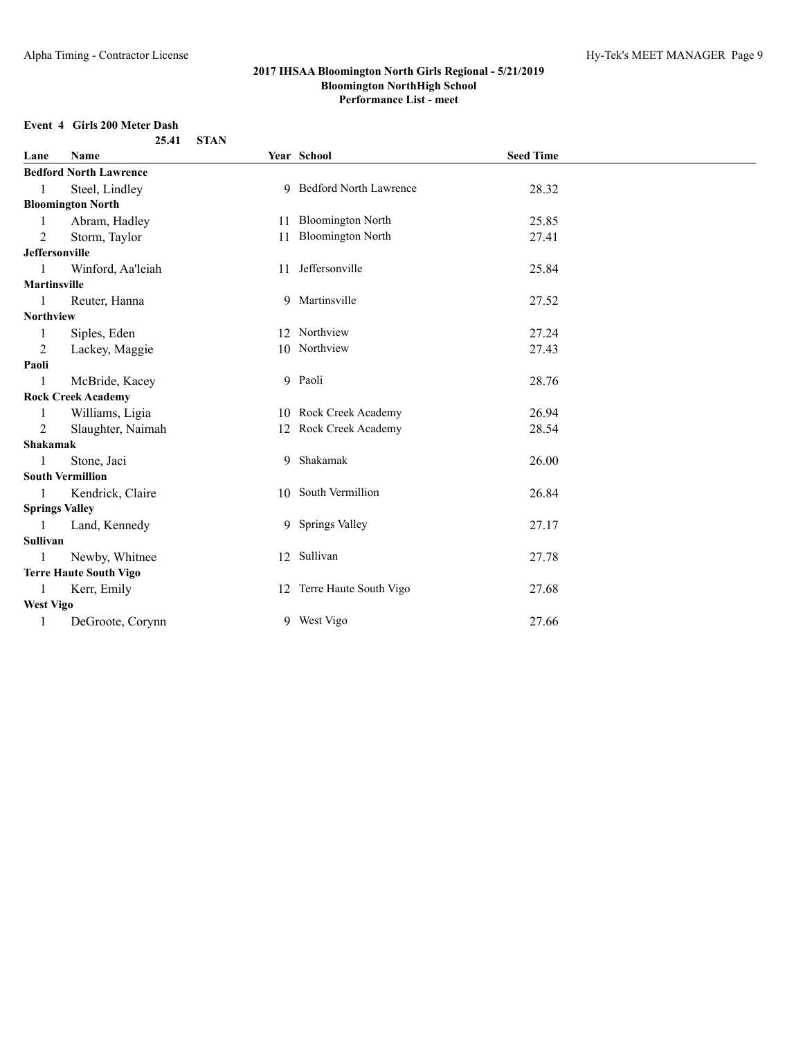# **Event 4 Girls 200 Meter Dash**

|                       | 25.41                         | <b>STAN</b> |                           |                  |  |
|-----------------------|-------------------------------|-------------|---------------------------|------------------|--|
| Lane                  | Name                          |             | Year School               | <b>Seed Time</b> |  |
|                       | <b>Bedford North Lawrence</b> |             |                           |                  |  |
| $\mathbf{1}$          | Steel, Lindley                |             | 9 Bedford North Lawrence  | 28.32            |  |
|                       | <b>Bloomington North</b>      |             |                           |                  |  |
| -1                    | Abram, Hadley                 |             | 11 Bloomington North      | 25.85            |  |
| 2                     | Storm, Taylor                 |             | 11 Bloomington North      | 27.41            |  |
| <b>Jeffersonville</b> |                               |             |                           |                  |  |
| $\mathbf{1}$          | Winford, Aa'leiah             |             | 11 Jeffersonville         | 25.84            |  |
| <b>Martinsville</b>   |                               |             |                           |                  |  |
| $\overline{1}$        | Reuter, Hanna                 |             | 9 Martinsville            | 27.52            |  |
| Northview             |                               |             |                           |                  |  |
| -1                    | Siples, Eden                  |             | 12 Northview              | 27.24            |  |
| 2                     | Lackey, Maggie                |             | 10 Northview              | 27.43            |  |
| Paoli                 |                               |             |                           |                  |  |
| -1                    | McBride, Kacey                |             | 9 Paoli                   | 28.76            |  |
|                       | <b>Rock Creek Academy</b>     |             |                           |                  |  |
| -1                    | Williams, Ligia               |             | 10 Rock Creek Academy     | 26.94            |  |
| 2                     | Slaughter, Naimah             |             | 12 Rock Creek Academy     | 28.54            |  |
| Shakamak              |                               |             |                           |                  |  |
| $\mathbf{1}$          | Stone, Jaci                   |             | 9 Shakamak                | 26.00            |  |
|                       | <b>South Vermillion</b>       |             |                           |                  |  |
| $\mathbf{1}$          | Kendrick, Claire              |             | 10 South Vermillion       | 26.84            |  |
| <b>Springs Valley</b> |                               |             |                           |                  |  |
| $\mathbf{1}$          | Land, Kennedy                 |             | 9 Springs Valley          | 27.17            |  |
| Sullivan              |                               |             |                           |                  |  |
| 1                     | Newby, Whitnee                |             | 12 Sullivan               | 27.78            |  |
|                       | <b>Terre Haute South Vigo</b> |             |                           |                  |  |
| -1                    | Kerr, Emily                   |             | 12 Terre Haute South Vigo | 27.68            |  |
| <b>West Vigo</b>      |                               |             |                           |                  |  |
| 1                     | DeGroote, Corynn              |             | 9 West Vigo               | 27.66            |  |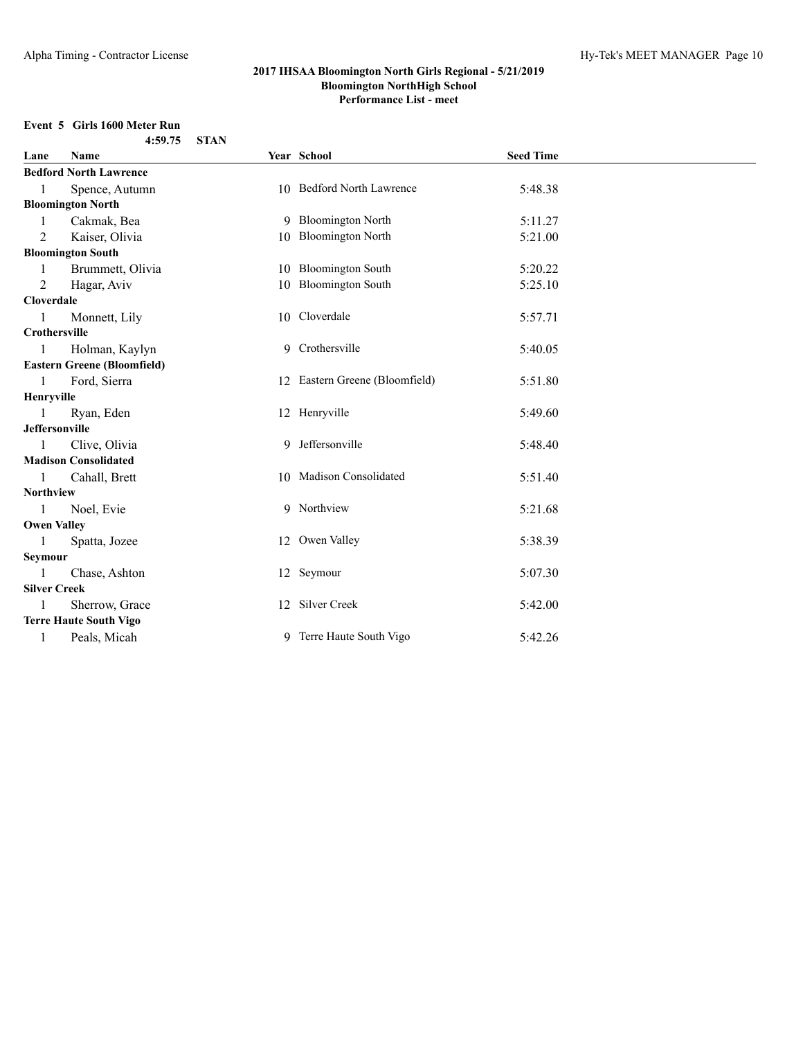# **Event 5 Girls 1600 Meter Run**

| 4:59.75 | STAN |
|---------|------|
|         |      |

| Lane                 | Name                               | Year School                    | <b>Seed Time</b> |  |
|----------------------|------------------------------------|--------------------------------|------------------|--|
|                      | <b>Bedford North Lawrence</b>      |                                |                  |  |
| 1                    | Spence, Autumn                     | 10 Bedford North Lawrence      | 5:48.38          |  |
|                      | <b>Bloomington North</b>           |                                |                  |  |
|                      | Cakmak, Bea                        | 9 Bloomington North            | 5:11.27          |  |
| 2                    | Kaiser, Olivia                     | 10 Bloomington North           | 5:21.00          |  |
|                      | <b>Bloomington South</b>           |                                |                  |  |
| 1                    | Brummett, Olivia                   | 10 Bloomington South           | 5:20.22          |  |
| 2                    | Hagar, Aviv                        | 10 Bloomington South           | 5:25.10          |  |
| Cloverdale           |                                    |                                |                  |  |
| -1                   | Monnett, Lily                      | 10 Cloverdale                  | 5:57.71          |  |
| <b>Crothersville</b> |                                    |                                |                  |  |
| -1                   | Holman, Kaylyn                     | 9 Crothersville                | 5:40.05          |  |
|                      | <b>Eastern Greene (Bloomfield)</b> |                                |                  |  |
| $\mathbf{1}$         | Ford, Sierra                       | 12 Eastern Greene (Bloomfield) | 5:51.80          |  |
| Henryville           |                                    |                                |                  |  |
|                      | Ryan, Eden                         | 12 Henryville                  | 5:49.60          |  |
| Jeffersonville       |                                    |                                |                  |  |
| $\mathbf{1}$         | Clive, Olivia                      | 9 Jeffersonville               | 5:48.40          |  |
|                      | <b>Madison Consolidated</b>        |                                |                  |  |
| -1                   | Cahall, Brett                      | 10 Madison Consolidated        | 5:51.40          |  |
| Northview            |                                    |                                |                  |  |
| $\overline{1}$       | Noel, Evie                         | 9 Northview                    | 5:21.68          |  |
| <b>Owen Valley</b>   |                                    |                                |                  |  |
| $\mathbf{1}$         | Spatta, Jozee                      | 12 Owen Valley                 | 5:38.39          |  |
| Seymour              |                                    |                                |                  |  |
| -1                   | Chase, Ashton                      | 12 Seymour                     | 5:07.30          |  |
| <b>Silver Creek</b>  |                                    |                                |                  |  |
|                      | Sherrow, Grace                     | 12 Silver Creek                | 5:42.00          |  |
|                      | <b>Terre Haute South Vigo</b>      |                                |                  |  |
| 1                    | Peals, Micah                       | 9 Terre Haute South Vigo       | 5:42.26          |  |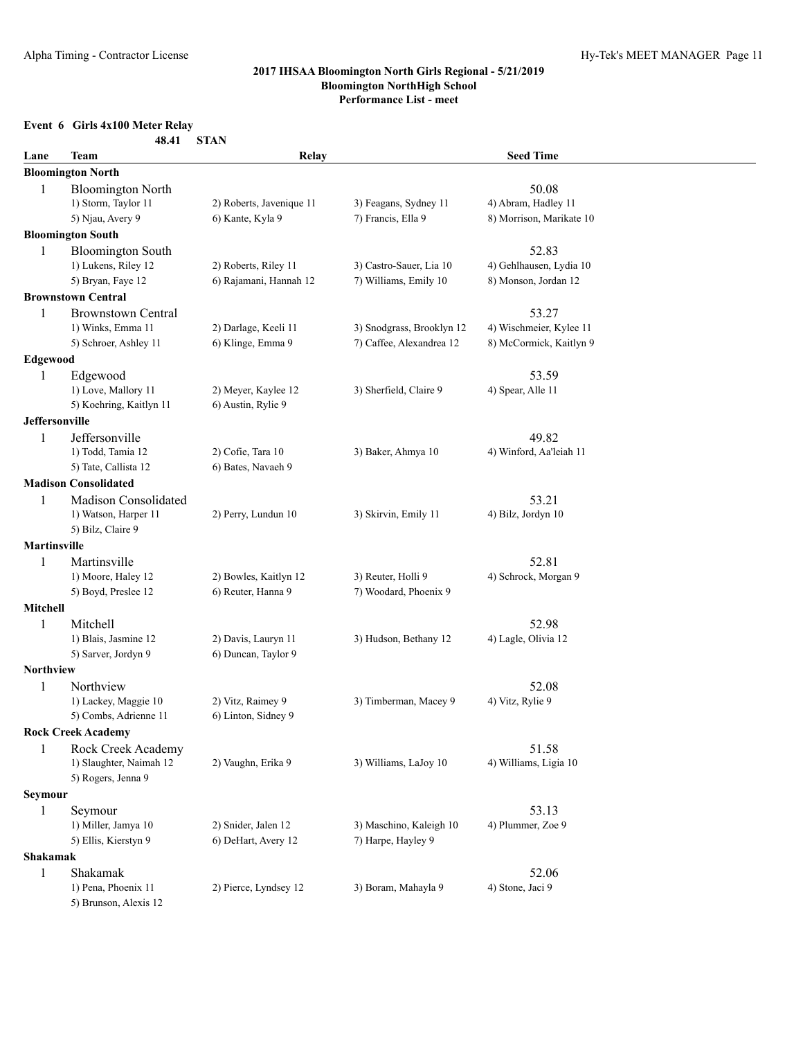# **Event 6 Girls 4x100 Meter Relay**

|                       | 48.41                                        | <b>STAN</b>              |                           |                                  |  |
|-----------------------|----------------------------------------------|--------------------------|---------------------------|----------------------------------|--|
| Lane                  | Team                                         | Relay                    |                           | <b>Seed Time</b>                 |  |
|                       | <b>Bloomington North</b>                     |                          |                           |                                  |  |
| 1                     | <b>Bloomington North</b>                     |                          |                           | 50.08                            |  |
|                       | 1) Storm, Taylor 11                          | 2) Roberts, Javenique 11 | 3) Feagans, Sydney 11     | 4) Abram, Hadley 11              |  |
|                       | 5) Njau, Avery 9                             | 6) Kante, Kyla 9         | 7) Francis, Ella 9        | 8) Morrison, Marikate 10         |  |
|                       | <b>Bloomington South</b>                     |                          |                           |                                  |  |
| 1                     | <b>Bloomington South</b>                     |                          |                           | 52.83                            |  |
|                       | 1) Lukens, Riley 12                          | 2) Roberts, Riley 11     | 3) Castro-Sauer, Lia 10   | 4) Gehlhausen, Lydia 10          |  |
|                       | 5) Bryan, Faye 12                            | 6) Rajamani, Hannah 12   | 7) Williams, Emily 10     | 8) Monson, Jordan 12             |  |
|                       | <b>Brownstown Central</b>                    |                          |                           |                                  |  |
| 1                     | <b>Brownstown Central</b>                    |                          |                           | 53.27                            |  |
|                       | 1) Winks, Emma 11                            | 2) Darlage, Keeli 11     | 3) Snodgrass, Brooklyn 12 | 4) Wischmeier, Kylee 11          |  |
|                       | 5) Schroer, Ashley 11                        | 6) Klinge, Emma 9        | 7) Caffee, Alexandrea 12  | 8) McCormick, Kaitlyn 9          |  |
| Edgewood              |                                              |                          |                           |                                  |  |
| 1                     | Edgewood                                     |                          |                           | 53.59                            |  |
|                       | 1) Love, Mallory 11                          | 2) Meyer, Kaylee 12      | 3) Sherfield, Claire 9    | 4) Spear, Alle 11                |  |
|                       | 5) Koehring, Kaitlyn 11                      | 6) Austin, Rylie 9       |                           |                                  |  |
| <b>Jeffersonville</b> |                                              |                          |                           |                                  |  |
| 1                     | Jeffersonville                               | 2) Cofie, Tara 10        | 3) Baker, Ahmya 10        | 49.82<br>4) Winford, Aa'leiah 11 |  |
|                       | 1) Todd, Tamia 12<br>5) Tate, Callista 12    | 6) Bates, Navaeh 9       |                           |                                  |  |
|                       | <b>Madison Consolidated</b>                  |                          |                           |                                  |  |
|                       |                                              |                          |                           |                                  |  |
| 1                     | Madison Consolidated<br>1) Watson, Harper 11 | 2) Perry, Lundun 10      | 3) Skirvin, Emily 11      | 53.21<br>4) Bilz, Jordyn 10      |  |
|                       | 5) Bilz, Claire 9                            |                          |                           |                                  |  |
| <b>Martinsville</b>   |                                              |                          |                           |                                  |  |
| $\mathbf{1}$          | Martinsville                                 |                          |                           | 52.81                            |  |
|                       | 1) Moore, Haley 12                           | 2) Bowles, Kaitlyn 12    | 3) Reuter, Holli 9        | 4) Schrock, Morgan 9             |  |
|                       | 5) Boyd, Preslee 12                          | 6) Reuter, Hanna 9       | 7) Woodard, Phoenix 9     |                                  |  |
| Mitchell              |                                              |                          |                           |                                  |  |
| $\mathbf{1}$          | Mitchell                                     |                          |                           | 52.98                            |  |
|                       | 1) Blais, Jasmine 12                         | 2) Davis, Lauryn 11      | 3) Hudson, Bethany 12     | 4) Lagle, Olivia 12              |  |
|                       | 5) Sarver, Jordyn 9                          | 6) Duncan, Taylor 9      |                           |                                  |  |
| Northview             |                                              |                          |                           |                                  |  |
| $\mathbf{1}$          | Northview                                    |                          |                           | 52.08                            |  |
|                       | 1) Lackey, Maggie 10                         | 2) Vitz, Raimey 9        | 3) Timberman, Macey 9     | 4) Vitz, Rylie 9                 |  |
|                       | 5) Combs, Adrienne 11                        | 6) Linton, Sidney 9      |                           |                                  |  |
|                       | <b>Rock Creek Academy</b>                    |                          |                           |                                  |  |
| 1                     | Rock Creek Academy                           |                          |                           | 51.58                            |  |
|                       | 1) Slaughter, Naimah 12                      | 2) Vaughn, Erika 9       | 3) Williams, LaJoy 10     | 4) Williams, Ligia 10            |  |
|                       | 5) Rogers, Jenna 9                           |                          |                           |                                  |  |
| <b>Seymour</b>        |                                              |                          |                           |                                  |  |
| 1                     | Seymour                                      |                          |                           | 53.13                            |  |
|                       | 1) Miller, Jamya 10                          | 2) Snider, Jalen 12      | 3) Maschino, Kaleigh 10   | 4) Plummer, Zoe 9                |  |
|                       | 5) Ellis, Kierstyn 9                         | 6) DeHart, Avery 12      | 7) Harpe, Hayley 9        |                                  |  |
| Shakamak              |                                              |                          |                           |                                  |  |
| $\mathbf{1}$          | Shakamak                                     |                          |                           | 52.06                            |  |
|                       | 1) Pena, Phoenix 11                          | 2) Pierce, Lyndsey 12    | 3) Boram, Mahayla 9       | 4) Stone, Jaci 9                 |  |
|                       | 5) Brunson, Alexis 12                        |                          |                           |                                  |  |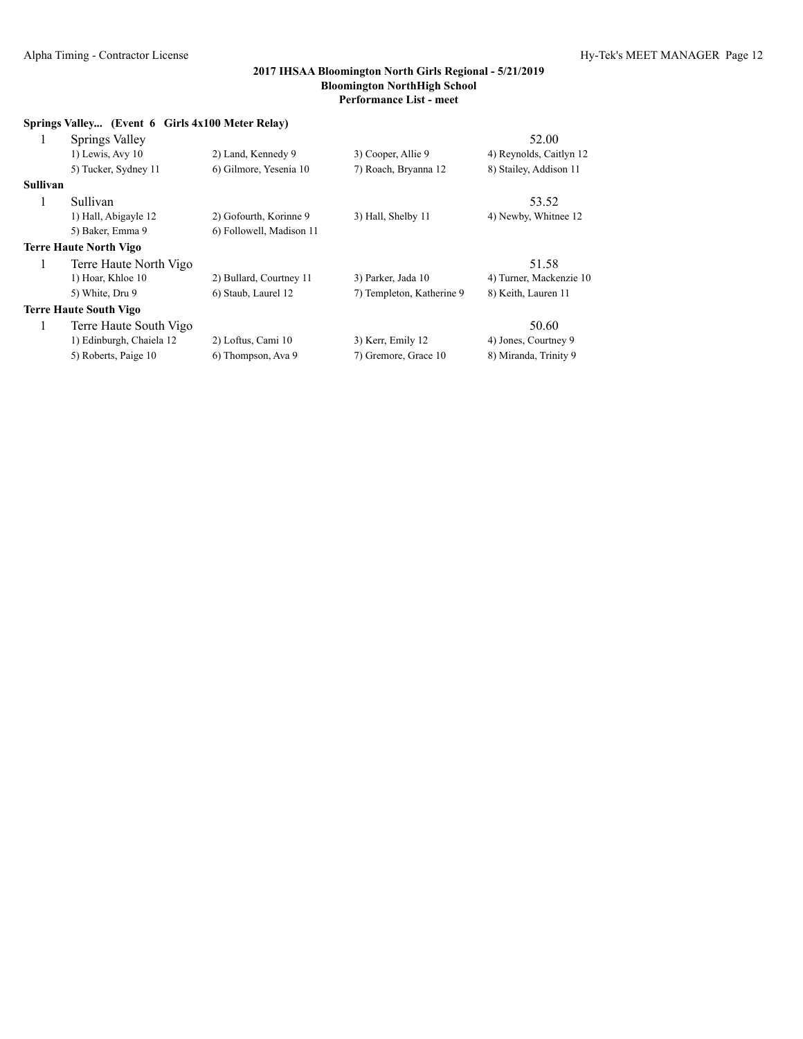|                 | Springs Valley (Event 6 Girls 4x100 Meter Relay) |                          |                           |                         |
|-----------------|--------------------------------------------------|--------------------------|---------------------------|-------------------------|
| 1               | Springs Valley                                   |                          |                           | 52.00                   |
|                 | $1)$ Lewis, Avy $10$                             | 2) Land, Kennedy 9       | 3) Cooper, Allie 9        | 4) Reynolds, Caitlyn 12 |
|                 | 5) Tucker, Sydney 11                             | 6) Gilmore, Yesenia 10   | 7) Roach, Bryanna 12      | 8) Stailey, Addison 11  |
| <b>Sullivan</b> |                                                  |                          |                           |                         |
| 1               | Sullivan                                         |                          |                           | 53.52                   |
|                 | 1) Hall, Abigayle 12                             | 2) Gofourth, Korinne 9   | 3) Hall, Shelby 11        | 4) Newby, Whitnee 12    |
|                 | 5) Baker, Emma 9                                 | 6) Followell, Madison 11 |                           |                         |
|                 | <b>Terre Haute North Vigo</b>                    |                          |                           |                         |
| 1               | Terre Haute North Vigo                           |                          |                           | 51.58                   |
|                 | 1) Hoar, Khloe 10                                | 2) Bullard, Courtney 11  | 3) Parker, Jada 10        | 4) Turner, Mackenzie 10 |
|                 | 5) White, Dru 9                                  | 6) Staub, Laurel 12      | 7) Templeton, Katherine 9 | 8) Keith, Lauren 11     |
|                 | <b>Terre Haute South Vigo</b>                    |                          |                           |                         |
| 1               | Terre Haute South Vigo                           |                          |                           | 50.60                   |
|                 | 1) Edinburgh, Chaiela 12                         | 2) Loftus, Cami 10       | 3) Kerr, Emily 12         | 4) Jones, Courtney 9    |
|                 | 5) Roberts, Paige 10                             | 6) Thompson, Ava 9       | 7) Gremore, Grace 10      | 8) Miranda, Trinity 9   |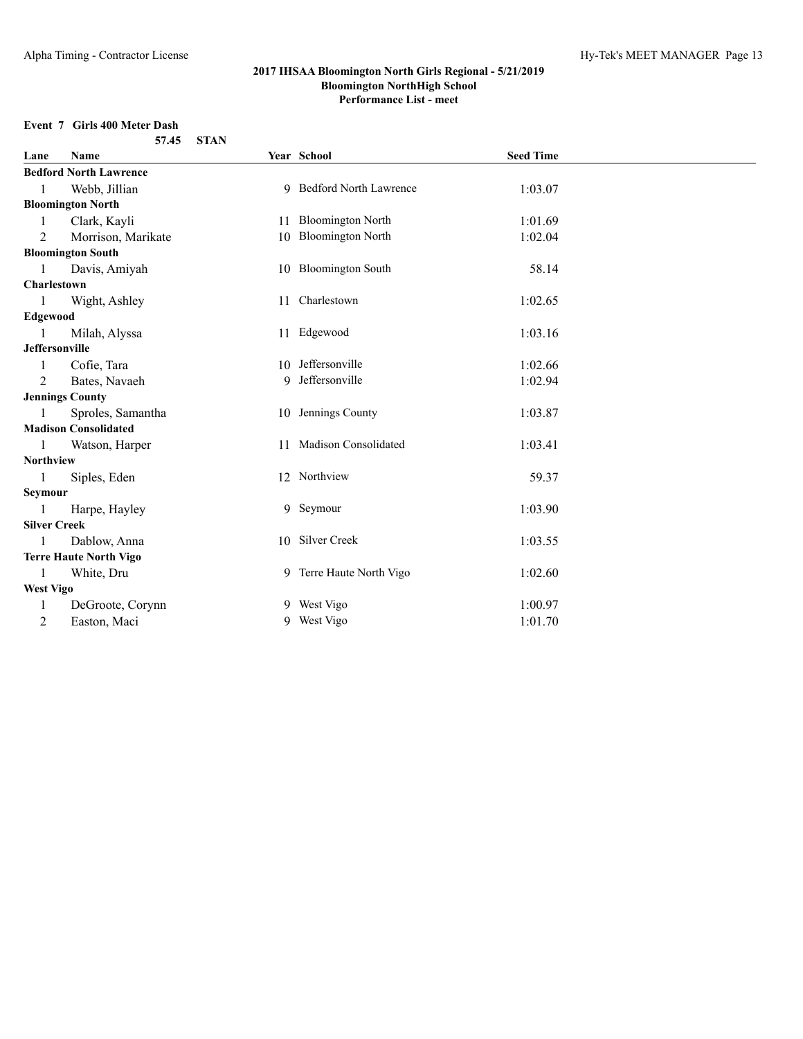# **Event 7 Girls 400 Meter Dash**

|                       | 57.45                         | <b>STAN</b> |                          |                  |  |
|-----------------------|-------------------------------|-------------|--------------------------|------------------|--|
| Lane                  | <b>Name</b>                   |             | Year School              | <b>Seed Time</b> |  |
|                       | <b>Bedford North Lawrence</b> |             |                          |                  |  |
| 1                     | Webb, Jillian                 |             | 9 Bedford North Lawrence | 1:03.07          |  |
|                       | <b>Bloomington North</b>      |             |                          |                  |  |
| 1                     | Clark, Kayli                  |             | 11 Bloomington North     | 1:01.69          |  |
| $\overline{2}$        | Morrison, Marikate            | 10          | <b>Bloomington North</b> | 1:02.04          |  |
|                       | <b>Bloomington South</b>      |             |                          |                  |  |
| $\mathbf{1}$          | Davis, Amiyah                 |             | 10 Bloomington South     | 58.14            |  |
| Charlestown           |                               |             |                          |                  |  |
| $\mathbf{1}$          | Wight, Ashley                 |             | 11 Charlestown           | 1:02.65          |  |
| Edgewood              |                               |             |                          |                  |  |
| 1                     | Milah, Alyssa                 |             | 11 Edgewood              | 1:03.16          |  |
| <b>Jeffersonville</b> |                               |             |                          |                  |  |
|                       | Cofie, Tara                   |             | 10 Jeffersonville        | 1:02.66          |  |
| $\overline{2}$        | Bates, Navaeh                 |             | 9 Jeffersonville         | 1:02.94          |  |
|                       | <b>Jennings County</b>        |             |                          |                  |  |
| 1                     | Sproles, Samantha             |             | 10 Jennings County       | 1:03.87          |  |
|                       | <b>Madison Consolidated</b>   |             |                          |                  |  |
|                       | Watson, Harper                | 11          | Madison Consolidated     | 1:03.41          |  |
| <b>Northview</b>      |                               |             |                          |                  |  |
| 1                     | Siples, Eden                  |             | 12 Northview             | 59.37            |  |
| Seymour               |                               |             |                          |                  |  |
| 1                     | Harpe, Hayley                 |             | 9 Seymour                | 1:03.90          |  |
| <b>Silver Creek</b>   |                               |             |                          |                  |  |
| 1                     | Dablow, Anna                  |             | 10 Silver Creek          | 1:03.55          |  |
|                       | <b>Terre Haute North Vigo</b> |             |                          |                  |  |
| 1                     | White, Dru                    |             | 9 Terre Haute North Vigo | 1:02.60          |  |
| <b>West Vigo</b>      |                               |             |                          |                  |  |
| 1                     | DeGroote, Corynn              | 9           | West Vigo                | 1:00.97          |  |
| $\overline{2}$        | Easton, Maci                  |             | 9 West Vigo              | 1:01.70          |  |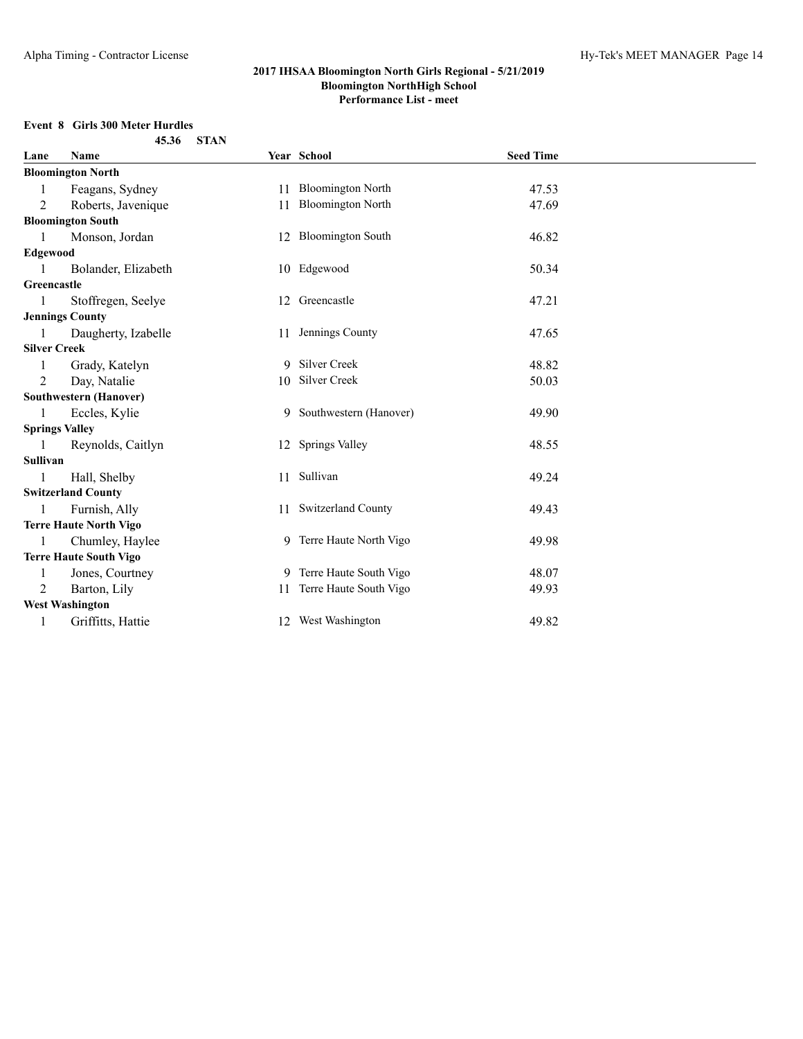# **Event 8 Girls 300 Meter Hurdles**

|                       | 45.36                         | <b>STAN</b> |                           |                  |  |
|-----------------------|-------------------------------|-------------|---------------------------|------------------|--|
| Lane                  | Name                          |             | Year School               | <b>Seed Time</b> |  |
|                       | <b>Bloomington North</b>      |             |                           |                  |  |
| 1                     | Feagans, Sydney               |             | 11 Bloomington North      | 47.53            |  |
| 2                     | Roberts, Javenique            |             | 11 Bloomington North      | 47.69            |  |
|                       | <b>Bloomington South</b>      |             |                           |                  |  |
| $\mathbf{1}$          | Monson, Jordan                |             | 12 Bloomington South      | 46.82            |  |
| <b>Edgewood</b>       |                               |             |                           |                  |  |
| $\mathbf{1}$          | Bolander, Elizabeth           |             | 10 Edgewood               | 50.34            |  |
| Greencastle           |                               |             |                           |                  |  |
|                       | Stoffregen, Seelye            |             | 12 Greencastle            | 47.21            |  |
|                       | <b>Jennings County</b>        |             |                           |                  |  |
| 1                     | Daugherty, Izabelle           |             | 11 Jennings County        | 47.65            |  |
| <b>Silver Creek</b>   |                               |             |                           |                  |  |
| 1                     | Grady, Katelyn                |             | 9 Silver Creek            | 48.82            |  |
| 2                     | Day, Natalie                  |             | 10 Silver Creek           | 50.03            |  |
|                       | <b>Southwestern (Hanover)</b> |             |                           |                  |  |
| 1                     | Eccles, Kylie                 |             | 9 Southwestern (Hanover)  | 49.90            |  |
| <b>Springs Valley</b> |                               |             |                           |                  |  |
|                       | Reynolds, Caitlyn             |             | 12 Springs Valley         | 48.55            |  |
| Sullivan              |                               |             |                           |                  |  |
| 1                     | Hall, Shelby                  |             | 11 Sullivan               | 49.24            |  |
|                       | <b>Switzerland County</b>     |             |                           |                  |  |
| -1                    | Furnish, Ally                 |             | 11 Switzerland County     | 49.43            |  |
|                       | <b>Terre Haute North Vigo</b> |             |                           |                  |  |
| 1                     | Chumley, Haylee               |             | 9 Terre Haute North Vigo  | 49.98            |  |
|                       | <b>Terre Haute South Vigo</b> |             |                           |                  |  |
| 1                     | Jones, Courtney               |             | 9 Terre Haute South Vigo  | 48.07            |  |
| 2                     | Barton, Lily                  |             | 11 Terre Haute South Vigo | 49.93            |  |
|                       | <b>West Washington</b>        |             |                           |                  |  |
| 1                     | Griffitts, Hattie             |             | 12 West Washington        | 49.82            |  |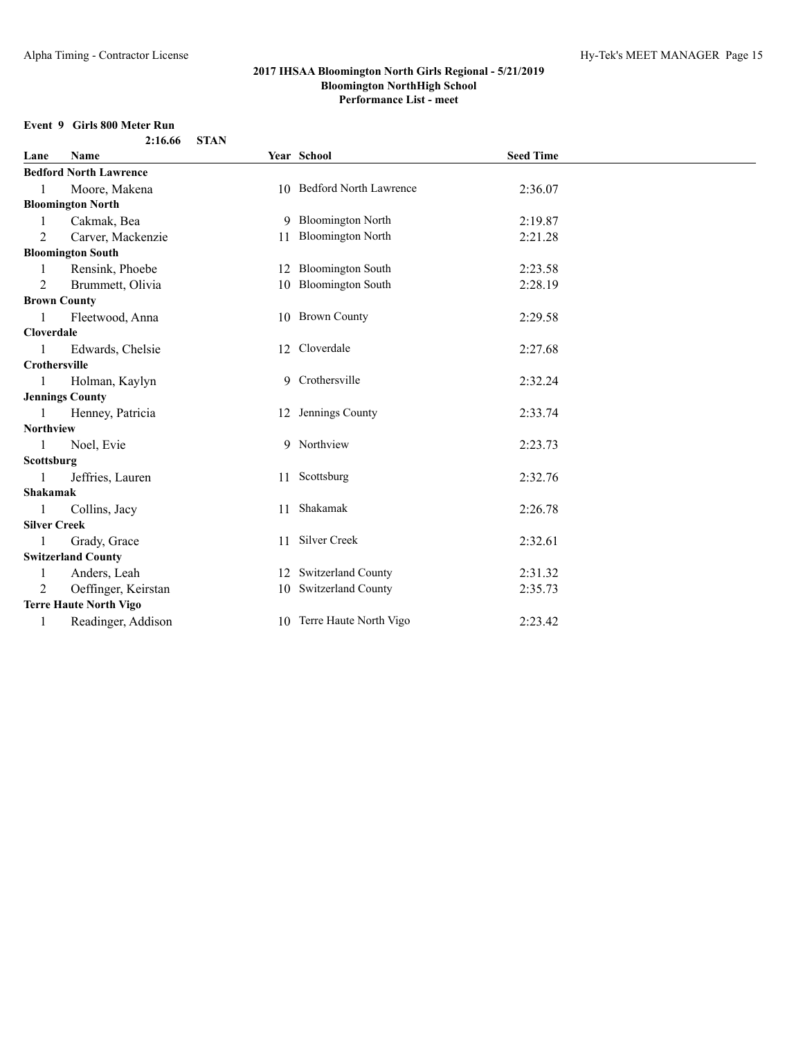# **Event 9 Girls 800 Meter Run**

|                     | 2:16.66                       | <b>STAN</b> |                           |                  |  |
|---------------------|-------------------------------|-------------|---------------------------|------------------|--|
| Lane                | <b>Name</b>                   |             | Year School               | <b>Seed Time</b> |  |
|                     | <b>Bedford North Lawrence</b> |             |                           |                  |  |
| 1                   | Moore, Makena                 |             | 10 Bedford North Lawrence | 2:36.07          |  |
|                     | <b>Bloomington North</b>      |             |                           |                  |  |
| 1                   | Cakmak, Bea                   |             | 9 Bloomington North       | 2:19.87          |  |
| 2                   | Carver, Mackenzie             |             | 11 Bloomington North      | 2:21.28          |  |
|                     | <b>Bloomington South</b>      |             |                           |                  |  |
|                     | Rensink, Phoebe               |             | 12 Bloomington South      | 2:23.58          |  |
| 2                   | Brummett, Olivia              |             | 10 Bloomington South      | 2:28.19          |  |
|                     | <b>Brown County</b>           |             |                           |                  |  |
|                     | Fleetwood, Anna               |             | 10 Brown County           | 2:29.58          |  |
| <b>Cloverdale</b>   |                               |             |                           |                  |  |
| $\mathbf{1}$        | Edwards, Chelsie              |             | 12 Cloverdale             | 2:27.68          |  |
| Crothersville       |                               |             |                           |                  |  |
| 1                   | Holman, Kaylyn                |             | 9 Crothersville           | 2:32.24          |  |
|                     | <b>Jennings County</b>        |             |                           |                  |  |
| 1                   | Henney, Patricia              |             | 12 Jennings County        | 2:33.74          |  |
| Northview           |                               |             |                           |                  |  |
| 1                   | Noel, Evie                    |             | 9 Northview               | 2:23.73          |  |
| Scottsburg          |                               |             |                           |                  |  |
| 1                   | Jeffries, Lauren              |             | 11 Scottsburg             | 2:32.76          |  |
| Shakamak            |                               |             |                           |                  |  |
| 1                   | Collins, Jacy                 |             | 11 Shakamak               | 2:26.78          |  |
| <b>Silver Creek</b> |                               |             |                           |                  |  |
| 1                   | Grady, Grace                  |             | 11 Silver Creek           | 2:32.61          |  |
|                     | <b>Switzerland County</b>     |             |                           |                  |  |
| 1                   | Anders, Leah                  |             | 12 Switzerland County     | 2:31.32          |  |
| 2                   | Oeffinger, Keirstan           |             | 10 Switzerland County     | 2:35.73          |  |
|                     | <b>Terre Haute North Vigo</b> |             |                           |                  |  |
|                     | Readinger, Addison            |             | 10 Terre Haute North Vigo | 2:23.42          |  |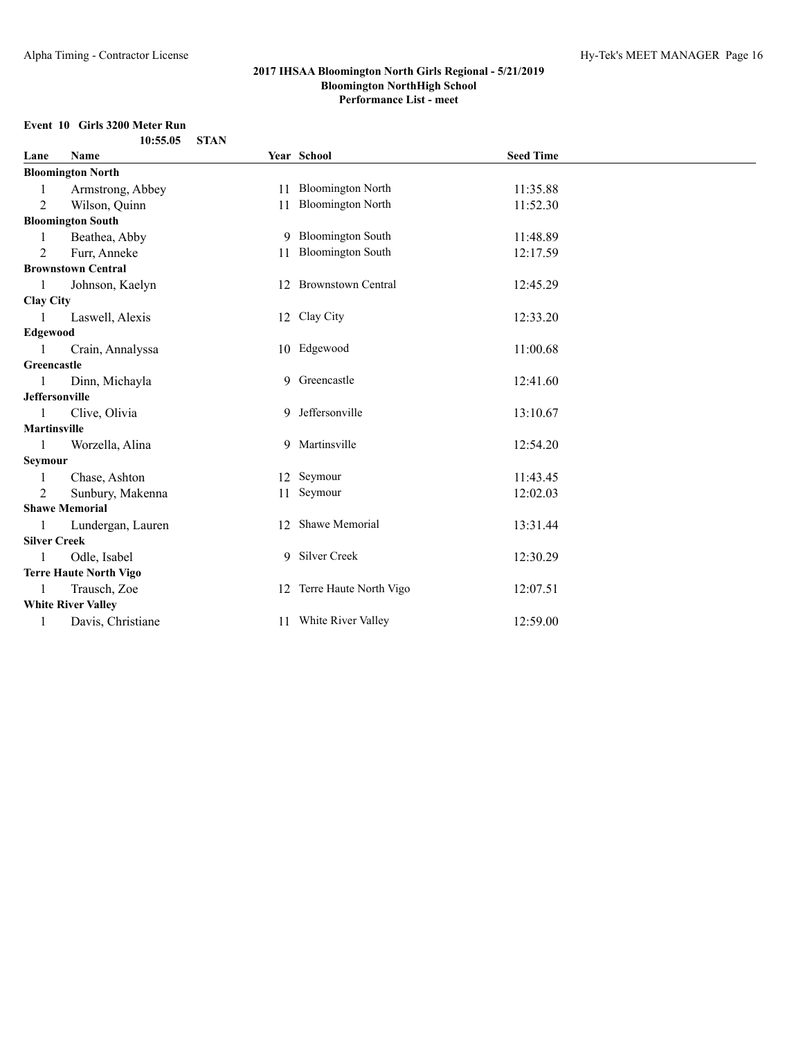#### **Event 10 Girls 3200 Meter Run 10:55.05 STAN**

| Lane                  | Name                          |              | Year School               | <b>Seed Time</b> |
|-----------------------|-------------------------------|--------------|---------------------------|------------------|
|                       | <b>Bloomington North</b>      |              |                           |                  |
|                       | Armstrong, Abbey              |              | 11 Bloomington North      | 11:35.88         |
| $\overline{2}$        | Wilson, Quinn                 | 11           | <b>Bloomington North</b>  | 11:52.30         |
|                       | <b>Bloomington South</b>      |              |                           |                  |
| 1                     | Beathea, Abby                 |              | 9 Bloomington South       | 11:48.89         |
| 2                     | Furr, Anneke                  |              | 11 Bloomington South      | 12:17.59         |
|                       | <b>Brownstown Central</b>     |              |                           |                  |
|                       | Johnson, Kaelyn               |              | 12 Brownstown Central     | 12:45.29         |
| <b>Clay City</b>      |                               |              |                           |                  |
|                       | Laswell, Alexis               |              | 12 Clay City              | 12:33.20         |
| Edgewood              |                               |              |                           |                  |
|                       | Crain, Annalyssa              |              | 10 Edgewood               | 11:00.68         |
| Greencastle           |                               |              |                           |                  |
|                       | Dinn, Michayla                | 9            | Greencastle               | 12:41.60         |
| <b>Jeffersonville</b> |                               |              |                           |                  |
| 1                     | Clive, Olivia                 | 9            | Jeffersonville            | 13:10.67         |
| <b>Martinsville</b>   |                               |              |                           |                  |
|                       | Worzella, Alina               |              | 9 Martinsville            | 12:54.20         |
| Seymour               |                               |              |                           |                  |
| 1                     | Chase, Ashton                 |              | 12 Seymour                | 11:43.45         |
| 2                     | Sunbury, Makenna              | 11           | Seymour                   | 12:02.03         |
|                       | <b>Shawe Memorial</b>         |              |                           |                  |
|                       | Lundergan, Lauren             | $12^{\circ}$ | Shawe Memorial            | 13:31.44         |
| <b>Silver Creek</b>   |                               |              |                           |                  |
|                       | Odle, Isabel                  |              | 9 Silver Creek            | 12:30.29         |
|                       | <b>Terre Haute North Vigo</b> |              |                           |                  |
|                       | Trausch, Zoe                  |              | 12 Terre Haute North Vigo | 12:07.51         |
|                       | <b>White River Valley</b>     |              |                           |                  |
| 1                     | Davis, Christiane             |              | 11 White River Valley     | 12:59.00         |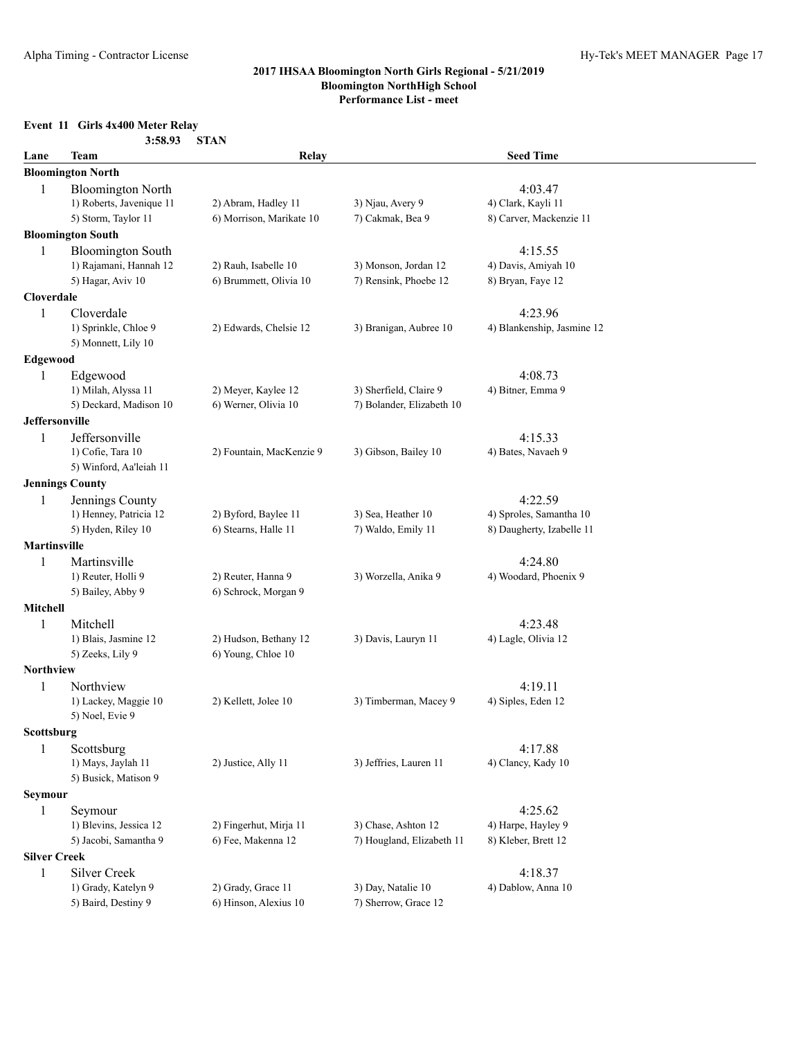# **Event 11 Girls 4x400 Meter Relay**

| Lane                     | Team                                                                        | Relay                                           |                                                     | <b>Seed Time</b>                                                |
|--------------------------|-----------------------------------------------------------------------------|-------------------------------------------------|-----------------------------------------------------|-----------------------------------------------------------------|
|                          | <b>Bloomington North</b>                                                    |                                                 |                                                     |                                                                 |
| 1                        | <b>Bloomington North</b><br>1) Roberts, Javenique 11<br>5) Storm, Taylor 11 | 2) Abram, Hadley 11<br>6) Morrison, Marikate 10 | 3) Njau, Avery 9<br>7) Cakmak, Bea 9                | 4:03.47<br>4) Clark, Kayli 11<br>8) Carver, Mackenzie 11        |
|                          | <b>Bloomington South</b>                                                    |                                                 |                                                     |                                                                 |
| 1                        | <b>Bloomington South</b><br>1) Rajamani, Hannah 12<br>5) Hagar, Aviv 10     | 2) Rauh, Isabelle 10<br>6) Brummett, Olivia 10  | 3) Monson, Jordan 12<br>7) Rensink, Phoebe 12       | 4:15.55<br>4) Davis, Amiyah 10<br>8) Bryan, Faye 12             |
| Cloverdale               |                                                                             |                                                 |                                                     |                                                                 |
| 1                        | Cloverdale<br>1) Sprinkle, Chloe 9<br>5) Monnett, Lily 10                   | 2) Edwards, Chelsie 12                          | 3) Branigan, Aubree 10                              | 4:23.96<br>4) Blankenship, Jasmine 12                           |
| Edgewood                 |                                                                             |                                                 |                                                     |                                                                 |
| 1                        | Edgewood<br>1) Milah, Alyssa 11<br>5) Deckard, Madison 10                   | 2) Meyer, Kaylee 12<br>6) Werner, Olivia 10     | 3) Sherfield, Claire 9<br>7) Bolander, Elizabeth 10 | 4:08.73<br>4) Bitner, Emma 9                                    |
| Jeffersonville           |                                                                             |                                                 |                                                     |                                                                 |
| 1                        | Jeffersonville<br>1) Cofie, Tara 10<br>5) Winford, Aa'leiah 11              | 2) Fountain, MacKenzie 9                        | 3) Gibson, Bailey 10                                | 4:15.33<br>4) Bates, Navaeh 9                                   |
| <b>Jennings County</b>   |                                                                             |                                                 |                                                     |                                                                 |
| 1                        | Jennings County<br>1) Henney, Patricia 12<br>5) Hyden, Riley 10             | 2) Byford, Baylee 11<br>6) Stearns, Halle 11    | 3) Sea, Heather 10<br>7) Waldo, Emily 11            | 4:22.59<br>4) Sproles, Samantha 10<br>8) Daugherty, Izabelle 11 |
| <b>Martinsville</b>      |                                                                             |                                                 |                                                     |                                                                 |
| 1                        | Martinsville<br>1) Reuter, Holli 9<br>5) Bailey, Abby 9                     | 2) Reuter, Hanna 9<br>6) Schrock, Morgan 9      | 3) Worzella, Anika 9                                | 4:24.80<br>4) Woodard, Phoenix 9                                |
| <b>Mitchell</b>          |                                                                             |                                                 |                                                     |                                                                 |
| 1                        | Mitchell<br>1) Blais, Jasmine 12<br>5) Zeeks, Lily 9                        | 2) Hudson, Bethany 12<br>6) Young, Chloe 10     | 3) Davis, Lauryn 11                                 | 4:23.48<br>4) Lagle, Olivia 12                                  |
| Northview                |                                                                             |                                                 |                                                     |                                                                 |
| 1                        | Northview<br>1) Lackey, Maggie 10<br>5) Noel, Evie 9                        | 2) Kellett, Jolee 10                            | 3) Timberman, Macey 9                               | 4:19.11<br>4) Siples, Eden 12                                   |
| Scottsburg               |                                                                             |                                                 |                                                     |                                                                 |
| 1                        | Scottsburg<br>1) Mays, Jaylah 11<br>5) Busick, Matison 9                    | 2) Justice, Ally 11                             | 3) Jeffries, Lauren 11                              | 4:17.88<br>4) Clancy, Kady 10                                   |
| <b>Seymour</b>           |                                                                             |                                                 |                                                     |                                                                 |
| 1                        | Seymour<br>1) Blevins, Jessica 12<br>5) Jacobi, Samantha 9                  | 2) Fingerhut, Mirja 11<br>6) Fee, Makenna 12    | 3) Chase, Ashton 12<br>7) Hougland, Elizabeth 11    | 4:25.62<br>4) Harpe, Hayley 9<br>8) Kleber, Brett 12            |
| <b>Silver Creek</b><br>1 | Silver Creek                                                                |                                                 |                                                     | 4:18.37                                                         |
|                          | 1) Grady, Katelyn 9<br>5) Baird, Destiny 9                                  | 2) Grady, Grace 11<br>6) Hinson, Alexius 10     | 3) Day, Natalie 10<br>7) Sherrow, Grace 12          | 4) Dablow, Anna 10                                              |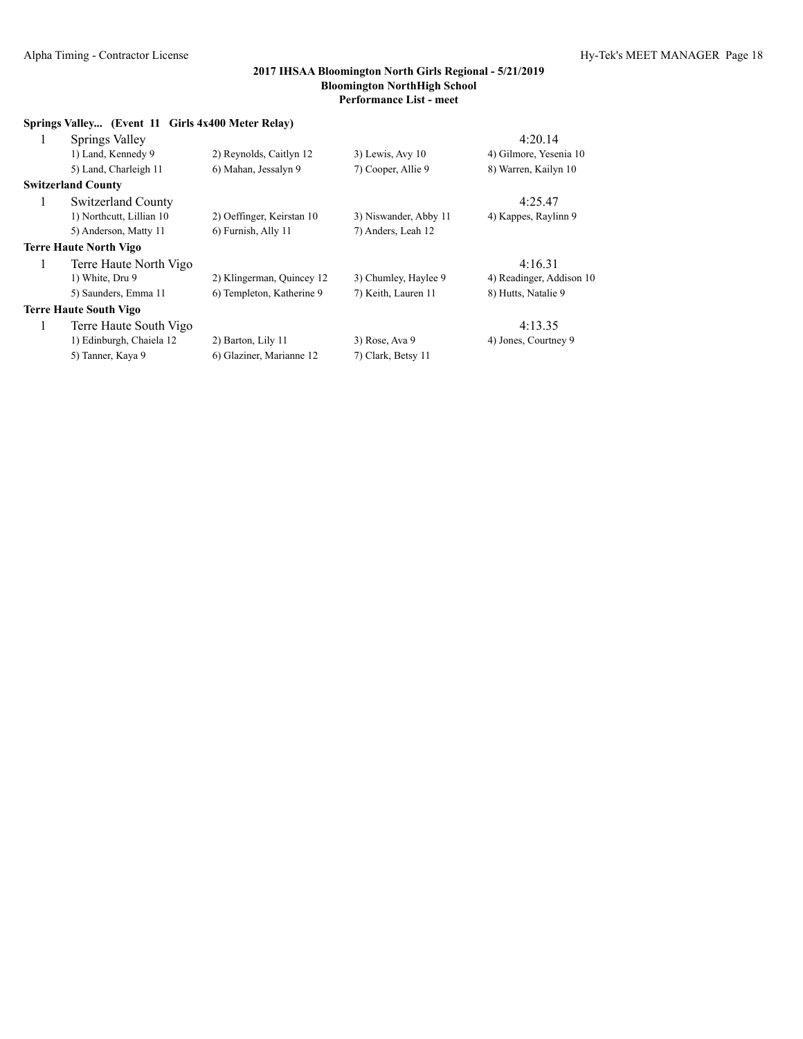| Springs Valley (Event 11 Girls 4x400 Meter Relay) |                           |                       |                          |
|---------------------------------------------------|---------------------------|-----------------------|--------------------------|
| Springs Valley<br>1                               |                           |                       | 4:20.14                  |
| 1) Land, Kennedy 9                                | 2) Reynolds, Caitlyn 12   | $3)$ Lewis, Avy 10    | 4) Gilmore, Yesenia 10   |
| 5) Land, Charleigh 11                             | 6) Mahan, Jessalyn 9      | 7) Cooper, Allie 9    | 8) Warren, Kailyn 10     |
| <b>Switzerland County</b>                         |                           |                       |                          |
| $\mathbf{1}$<br>Switzerland County                |                           |                       | 4:25.47                  |
| 1) Northcutt, Lillian 10                          | 2) Oeffinger, Keirstan 10 | 3) Niswander, Abby 11 | 4) Kappes, Raylinn 9     |
| 5) Anderson, Matty 11                             | 6) Furnish, Ally 11       | 7) Anders, Leah 12    |                          |
| <b>Terre Haute North Vigo</b>                     |                           |                       |                          |
| $\mathbf{1}$<br>Terre Haute North Vigo            |                           |                       | 4:16.31                  |
| 1) White, Dru 9                                   | 2) Klingerman, Quincey 12 | 3) Chumley, Haylee 9  | 4) Readinger, Addison 10 |
| 5) Saunders, Emma 11                              | 6) Templeton, Katherine 9 | 7) Keith, Lauren 11   | 8) Hutts, Natalie 9      |
| <b>Terre Haute South Vigo</b>                     |                           |                       |                          |
| 1<br>Terre Haute South Vigo                       |                           |                       | 4:13.35                  |
| 1) Edinburgh, Chaiela 12                          | 2) Barton, Lily 11        | $3)$ Rose, Ava 9      | 4) Jones, Courtney 9     |
| 5) Tanner, Kaya 9                                 | 6) Glaziner, Marianne 12  | 7) Clark, Betsy 11    |                          |